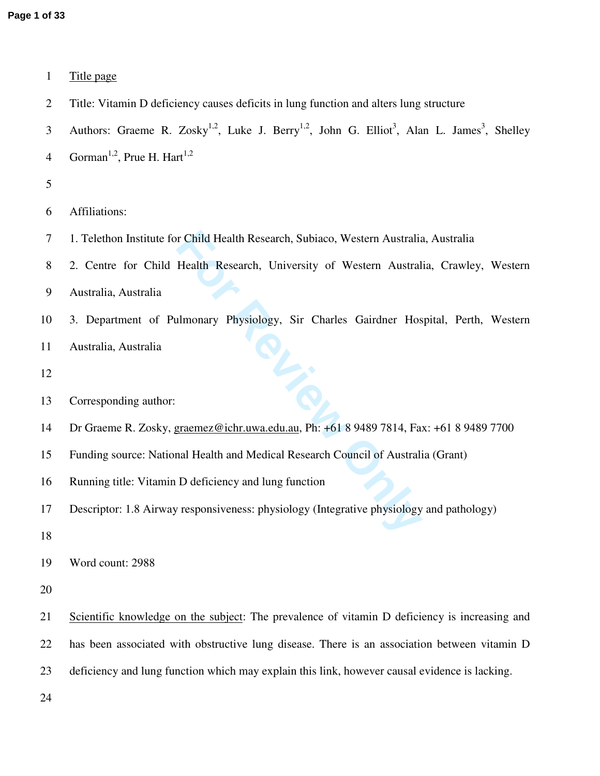| $\mathbf{1}$   | Title page                                                                                                                                  |
|----------------|---------------------------------------------------------------------------------------------------------------------------------------------|
| $\overline{2}$ | Title: Vitamin D deficiency causes deficits in lung function and alters lung structure                                                      |
| 3              | Authors: Graeme R. Zosky <sup>1,2</sup> , Luke J. Berry <sup>1,2</sup> , John G. Elliot <sup>3</sup> , Alan L. James <sup>3</sup> , Shelley |
| $\overline{4}$ | Gorman <sup>1,2</sup> , Prue H. Hart <sup>1,2</sup>                                                                                         |
| 5              |                                                                                                                                             |
| 6              | Affiliations:                                                                                                                               |
| 7              | 1. Telethon Institute for Child Health Research, Subiaco, Western Australia, Australia                                                      |
| 8              | 2. Centre for Child Health Research, University of Western Australia, Crawley, Western                                                      |
| 9              | Australia, Australia                                                                                                                        |
| 10             | 3. Department of Pulmonary Physiology, Sir Charles Gairdner Hospital, Perth, Western                                                        |
| 11             | Australia, Australia                                                                                                                        |
| 12             |                                                                                                                                             |
| 13             | Corresponding author:                                                                                                                       |
| 14             | Dr Graeme R. Zosky, graemez@ichr.uwa.edu.au, Ph: +61 8 9489 7814, Fax: +61 8 9489 7700                                                      |
| 15             | Funding source: National Health and Medical Research Council of Australia (Grant)                                                           |
| 16             | Running title: Vitamin D deficiency and lung function                                                                                       |
|                |                                                                                                                                             |
| 17             | Descriptor: 1.8 Airway responsiveness: physiology (Integrative physiology and pathology)                                                    |
| 18             |                                                                                                                                             |
| 19             | Word count: 2988                                                                                                                            |
| 20             |                                                                                                                                             |
| 21             | Scientific knowledge on the subject: The prevalence of vitamin D deficiency is increasing and                                               |
| 22             | has been associated with obstructive lung disease. There is an association between vitamin D                                                |
| 23             | deficiency and lung function which may explain this link, however causal evidence is lacking.                                               |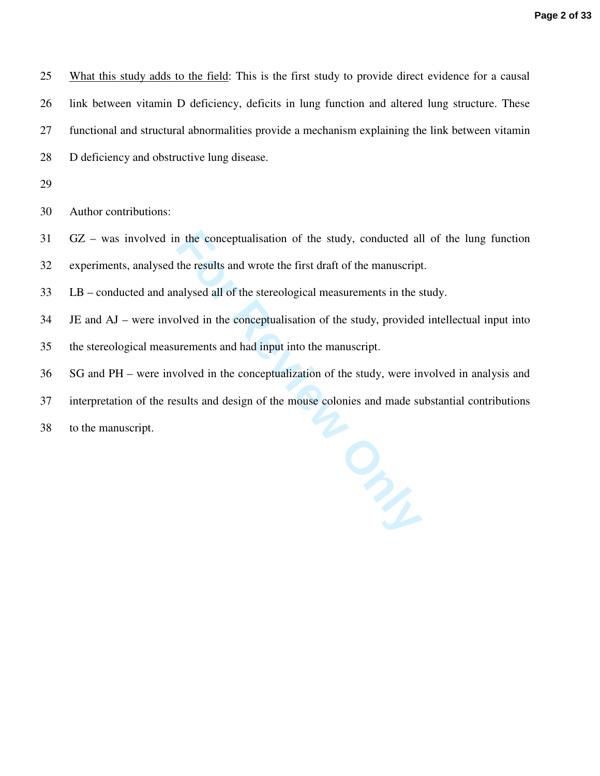25 What this study adds to the field: This is the first study to provide direct evidence for a causal 26 link between vitamin D deficiency, deficits in lung function and altered lung structure. These 27 functional and structural abnormalities provide a mechanism explaining the link between vitamin 28 D deficiency and obstructive lung disease.

29

30 Author contributions:

31 GZ – was involved in the conceptualisation of the study, conducted all of the lung function

32 experiments, analysed the results and wrote the first draft of the manuscript.

33 LB – conducted and analysed all of the stereological measurements in the study.

34 JE and AJ – were involved in the conceptualisation of the study, provided intellectual input into

35 the stereological measurements and had input into the manuscript.

36 SG and PH – were involved in the conceptualization of the study, were involved in analysis and

37 interpretation of the results and design of the mouse colonies and made substantial contributions

38 to the manuscript.

It the conceptualisation of the study, conducted all<br>the results and wrote the first draft of the manuscript<br>alysed all of the stereological measurements in the s<br>blved in the conceptualisation of the study, provided<br>ureme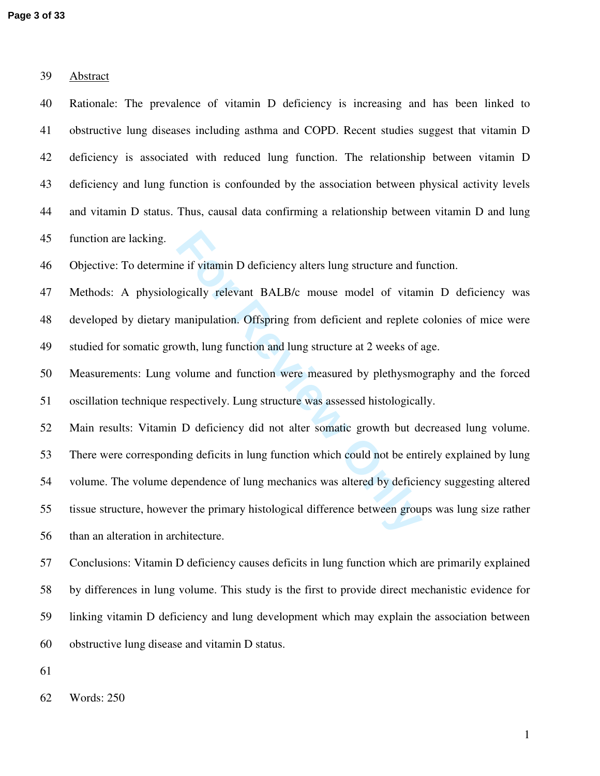| 39 | Abstract                                                                                          |
|----|---------------------------------------------------------------------------------------------------|
| 40 | Rationale: The prevalence of vitamin D deficiency is increasing and has been linked to            |
| 41 | obstructive lung diseases including asthma and COPD. Recent studies suggest that vitamin D        |
| 42 | deficiency is associated with reduced lung function. The relationship between vitamin D           |
| 43 | deficiency and lung function is confounded by the association between physical activity levels    |
| 44 | and vitamin D status. Thus, causal data confirming a relationship between vitamin D and lung      |
| 45 | function are lacking.                                                                             |
| 46 | Objective: To determine if vitamin D deficiency alters lung structure and function.               |
| 47 | Methods: A physiologically relevant BALB/c mouse model of vitamin D deficiency was                |
| 48 | developed by dietary manipulation. Offspring from deficient and replete colonies of mice were     |
| 49 | studied for somatic growth, lung function and lung structure at 2 weeks of age.                   |
| 50 | Measurements: Lung volume and function were measured by plethysmography and the forced            |
| 51 | oscillation technique respectively. Lung structure was assessed histologically.                   |
| 52 | Main results: Vitamin D deficiency did not alter somatic growth but decreased lung volume.        |
| 53 | There were corresponding deficits in lung function which could not be entirely explained by lung  |
| 54 | volume. The volume dependence of lung mechanics was altered by deficiency suggesting altered      |
| 55 | tissue structure, however the primary histological difference between groups was lung size rather |
| 56 | than an alteration in architecture.                                                               |
| 57 | Conclusions: Vitamin D deficiency causes deficits in lung function which are primarily explained  |
| 58 | by differences in lung volume. This study is the first to provide direct mechanistic evidence for |
| 59 | linking vitamin D deficiency and lung development which may explain the association between       |

61

62 Words: 250

60 obstructive lung disease and vitamin D status.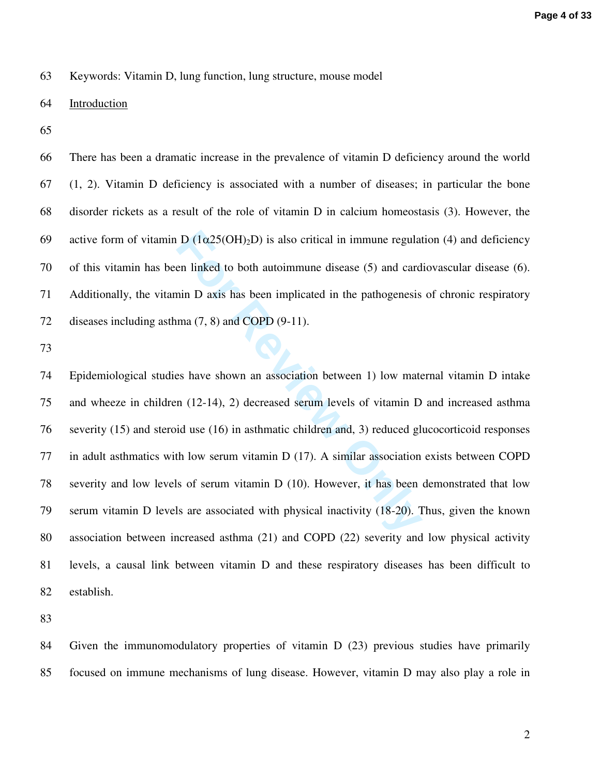63 Keywords: Vitamin D, lung function, lung structure, mouse model

## 64 Introduction

65

66 There has been a dramatic increase in the prevalence of vitamin D deficiency around the world 67 (1, 2). Vitamin D deficiency is associated with a number of diseases; in particular the bone 68 disorder rickets as a result of the role of vitamin D in calcium homeostasis (3). However, the 69 active form of vitamin D  $(1\alpha25(OH)_2D)$  is also critical in immune regulation (4) and deficiency 70 of this vitamin has been linked to both autoimmune disease (5) and cardiovascular disease (6). 71 Additionally, the vitamin D axis has been implicated in the pathogenesis of chronic respiratory 72 diseases including asthma  $(7, 8)$  and COPD  $(9-11)$ .

73

 $D(1\alpha 25(OH)_2D)$  is also critical in immune regular<br>en linked to both autoimmune disease (5) and card<br>nin  $D$  axis has been implicated in the pathogenesis<br>ma (7, 8) and COPD (9-11).<br>es have shown an association between 1) 74 Epidemiological studies have shown an association between 1) low maternal vitamin D intake 75 and wheeze in children (12-14), 2) decreased serum levels of vitamin D and increased asthma 76 severity (15) and steroid use (16) in asthmatic children and, 3) reduced glucocorticoid responses 77 in adult asthmatics with low serum vitamin D (17). A similar association exists between COPD 78 severity and low levels of serum vitamin D (10). However, it has been demonstrated that low 79 serum vitamin D levels are associated with physical inactivity (18-20). Thus, given the known 80 association between increased asthma (21) and COPD (22) severity and low physical activity 81 levels, a causal link between vitamin D and these respiratory diseases has been difficult to 82 establish.

83

84 Given the immunomodulatory properties of vitamin D (23) previous studies have primarily 85 focused on immune mechanisms of lung disease. However, vitamin D may also play a role in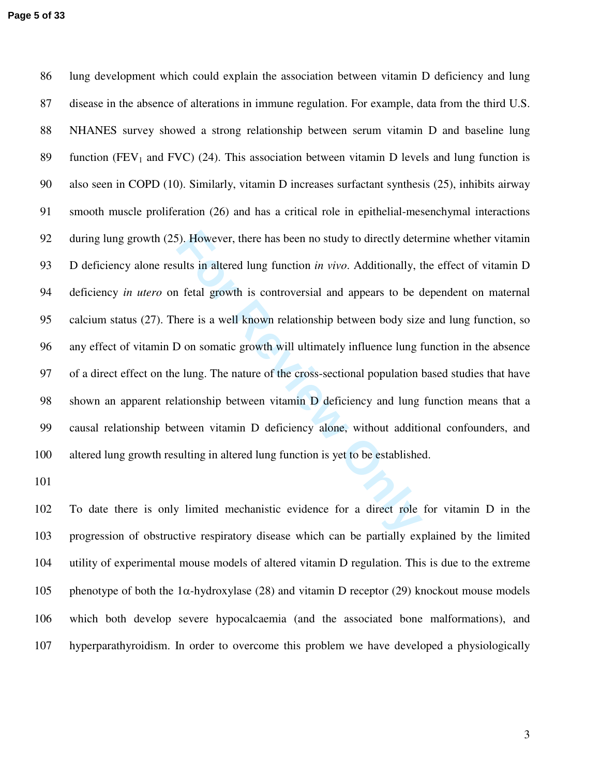For However, there has been no study to directly detential in altered lung function *in vivo*. Additionally, the fetal growth is controversial and appears to be concree is a well known relationship between body size  $\Theta$  86 lung development which could explain the association between vitamin D deficiency and lung 87 disease in the absence of alterations in immune regulation. For example, data from the third U.S. 88 NHANES survey showed a strong relationship between serum vitamin D and baseline lung 89 function ( $FEV<sub>1</sub>$  and  $FVC$ ) (24). This association between vitamin D levels and lung function is 90 also seen in COPD (10). Similarly, vitamin D increases surfactant synthesis (25), inhibits airway 91 smooth muscle proliferation (26) and has a critical role in epithelial-mesenchymal interactions 92 during lung growth (25). However, there has been no study to directly determine whether vitamin 93 D deficiency alone results in altered lung function *in vivo*. Additionally, the effect of vitamin D 94 deficiency *in utero* on fetal growth is controversial and appears to be dependent on maternal 95 calcium status (27). There is a well known relationship between body size and lung function, so 96 any effect of vitamin D on somatic growth will ultimately influence lung function in the absence 97 of a direct effect on the lung. The nature of the cross-sectional population based studies that have 98 shown an apparent relationship between vitamin D deficiency and lung function means that a 99 causal relationship between vitamin D deficiency alone, without additional confounders, and 100 altered lung growth resulting in altered lung function is yet to be established.

101

102 To date there is only limited mechanistic evidence for a direct role for vitamin D in the 103 progression of obstructive respiratory disease which can be partially explained by the limited 104 utility of experimental mouse models of altered vitamin D regulation. This is due to the extreme 105 phenotype of both the 1 $\alpha$ -hydroxylase (28) and vitamin D receptor (29) knockout mouse models 106 which both develop severe hypocalcaemia (and the associated bone malformations), and 107 hyperparathyroidism. In order to overcome this problem we have developed a physiologically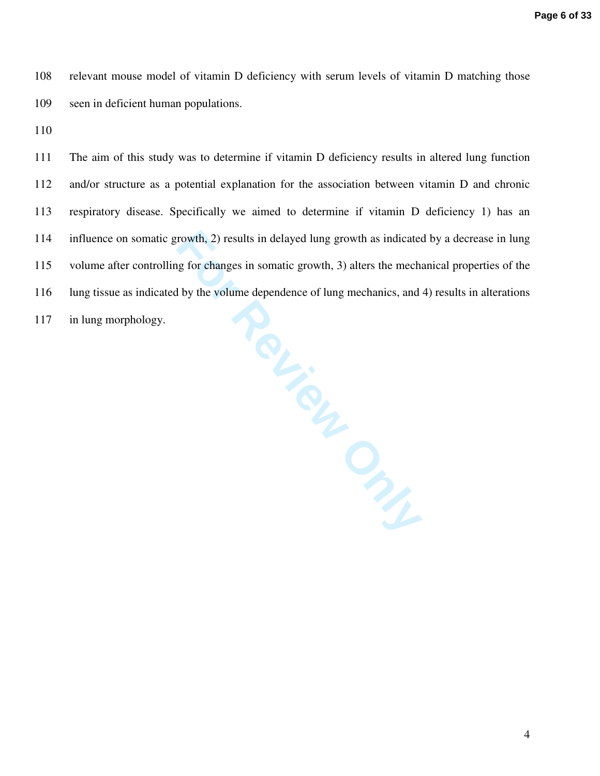108 relevant mouse model of vitamin D deficiency with serum levels of vitamin D matching those 109 seen in deficient human populations.

110

**Felicient City** 111 The aim of this study was to determine if vitamin D deficiency results in altered lung function 112 and/or structure as a potential explanation for the association between vitamin D and chronic 113 respiratory disease. Specifically we aimed to determine if vitamin D deficiency 1) has an 114 influence on somatic growth, 2) results in delayed lung growth as indicated by a decrease in lung 115 volume after controlling for changes in somatic growth, 3) alters the mechanical properties of the 116 lung tissue as indicated by the volume dependence of lung mechanics, and 4) results in alterations

117 in lung morphology.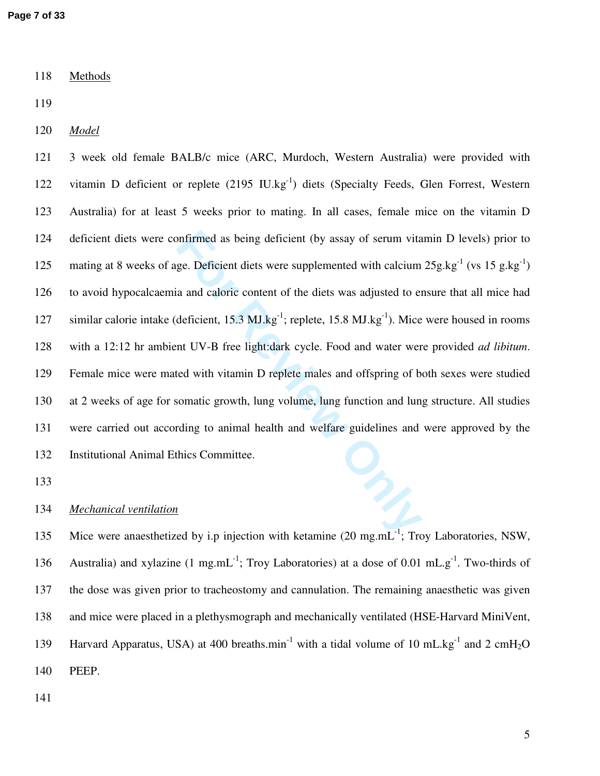118 Methods

119

120 *Model*

onfirmed as being deficient (by assay of serum vita<br>ge. Deficient diets were supplemented with calcium<br>a and caloric content of the diets was adjusted to en<br>deficient, 15.3 MJ.kg<sup>-1</sup>; replete, 15.8 MJ.kg<sup>-1</sup>). Mice<br>nt UV-B 121 3 week old female BALB/c mice (ARC, Murdoch, Western Australia) were provided with 122 vitamin D deficient or replete  $(2195 \text{ IU.kg}^{-1})$  diets (Specialty Feeds, Glen Forrest, Western 123 Australia) for at least 5 weeks prior to mating. In all cases, female mice on the vitamin D 124 deficient diets were confirmed as being deficient (by assay of serum vitamin D levels) prior to 125 mating at 8 weeks of age. Deficient diets were supplemented with calcium  $25g \text{.kg}^{-1}$  (vs 15 g.kg<sup>-1</sup>) 126 to avoid hypocalcaemia and caloric content of the diets was adjusted to ensure that all mice had 127 similar calorie intake (deficient,  $15.3 \text{ MJ.kg}^{-1}$ ; replete,  $15.8 \text{ MJ.kg}^{-1}$ ). Mice were housed in rooms 128 with a 12:12 hr ambient UV-B free light:dark cycle. Food and water were provided *ad libitum*. 129 Female mice were mated with vitamin D replete males and offspring of both sexes were studied 130 at 2 weeks of age for somatic growth, lung volume, lung function and lung structure. All studies 131 were carried out according to animal health and welfare guidelines and were approved by the 132 Institutional Animal Ethics Committee.

133

# 134 *Mechanical ventilation*

135 Mice were anaesthetized by i.p injection with ketamine  $(20 \text{ mg.mL}^{-1})$ ; Troy Laboratories, NSW, 136 Australia) and xylazine (1 mg.mL<sup>-1</sup>; Troy Laboratories) at a dose of 0.01 mL.g<sup>-1</sup>. Two-thirds of 137 the dose was given prior to tracheostomy and cannulation. The remaining anaesthetic was given 138 and mice were placed in a plethysmograph and mechanically ventilated (HSE-Harvard MiniVent, 139 Harvard Apparatus, USA) at 400 breaths.min<sup>-1</sup> with a tidal volume of 10 mL.kg<sup>-1</sup> and 2 cmH<sub>2</sub>O 140 PEEP.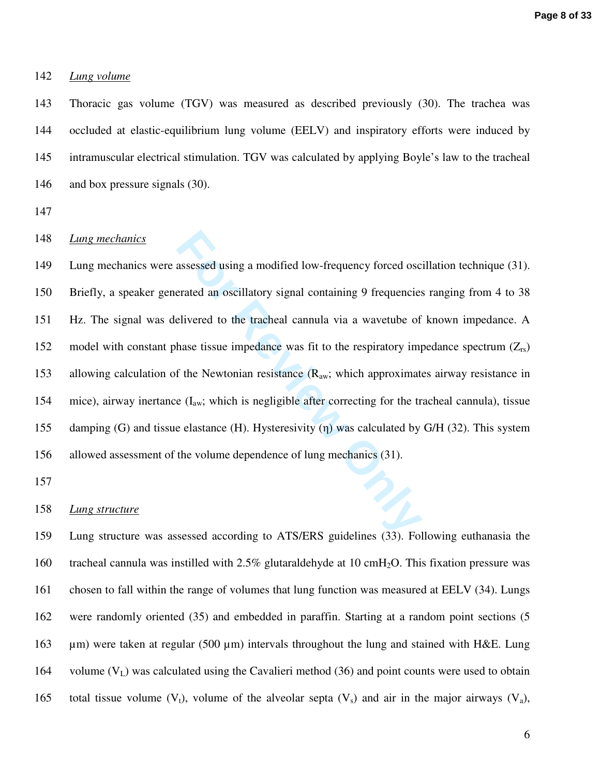## 142 *Lung volume*

143 Thoracic gas volume (TGV) was measured as described previously (30). The trachea was 144 occluded at elastic-equilibrium lung volume (EELV) and inspiratory efforts were induced by 145 intramuscular electrical stimulation. TGV was calculated by applying Boyle's law to the tracheal 146 and box pressure signals (30).

147

## 148 *Lung mechanics*

assessed using a modified low-frequency forced osc<br>erated an oscillatory signal containing 9 frequencies<br>elivered to the tracheal cannula via a wavetube of<br>hase tissue impedance was fit to the respiratory im<br>f the Newtoni 149 Lung mechanics were assessed using a modified low-frequency forced oscillation technique (31). 150 Briefly, a speaker generated an oscillatory signal containing 9 frequencies ranging from 4 to 38 151 Hz. The signal was delivered to the tracheal cannula via a wavetube of known impedance. A 152 model with constant phase tissue impedance was fit to the respiratory impedance spectrum  $(Z_{rs})$ 153 allowing calculation of the Newtonian resistance  $(R_{aw})$ ; which approximates airway resistance in 154 mice), airway inertance  $(I_{aw}$ ; which is negligible after correcting for the tracheal cannula), tissue 155 damping (G) and tissue elastance (H). Hysteresivity ( η) was calculated by G/H (32). This system 156 allowed assessment of the volume dependence of lung mechanics (31).

157

### 158 *Lung structure*

159 Lung structure was assessed according to ATS/ERS guidelines (33). Following euthanasia the 160 tracheal cannula was instilled with 2.5% glutaraldehyde at 10 cmH<sub>2</sub>O. This fixation pressure was 161 chosen to fall within the range of volumes that lung function was measured at EELV (34). Lungs 162 were randomly oriented (35) and embedded in paraffin. Starting at a random point sections (5 163 µm) were taken at regular (500 µm) intervals throughout the lung and stained with H&E. Lung 164 volume (V<sub>L</sub>) was calculated using the Cavalieri method (36) and point counts were used to obtain 165 total tissue volume  $(V_t)$ , volume of the alveolar septa  $(V_s)$  and air in the major airways  $(V_a)$ ,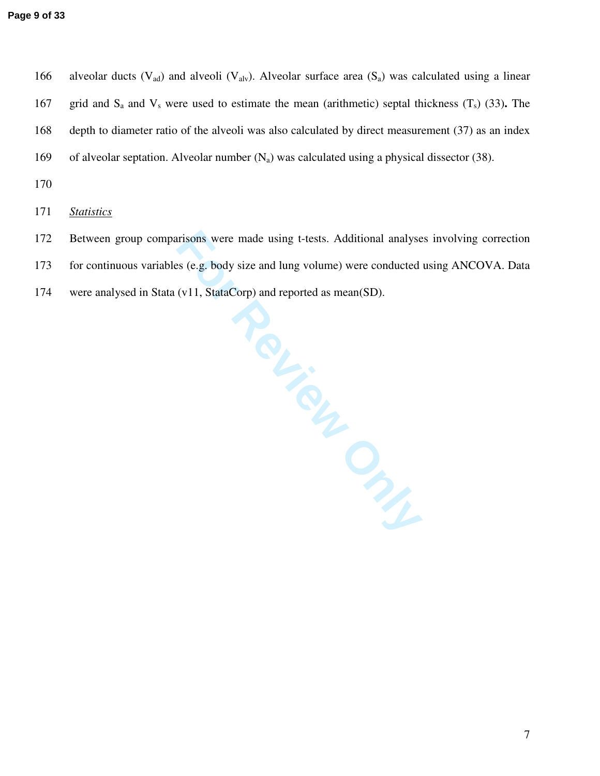166 alveolar ducts ( $V_{ad}$ ) and alveoli ( $V_{alv}$ ). Alveolar surface area ( $S_a$ ) was calculated using a linear 167 grid and  $S_a$  and  $V_s$  were used to estimate the mean (arithmetic) septal thickness  $(T_s)$  (33). The 168 depth to diameter ratio of the alveoli was also calculated by direct measurement (37) as an index 169 of alveolar septation. Alveolar number  $(N_a)$  was calculated using a physical dissector (38).

170

171 *Statistics*

- 172 Between group comparisons were made using t-tests. Additional analyses involving correction
- 173 for continuous variables (e.g. body size and lung volume) were conducted using ANCOVA. Data
- 174 were analysed in Stata (v11, StataCorp) and reported as mean(SD).

**FOR REVIEW ONLY**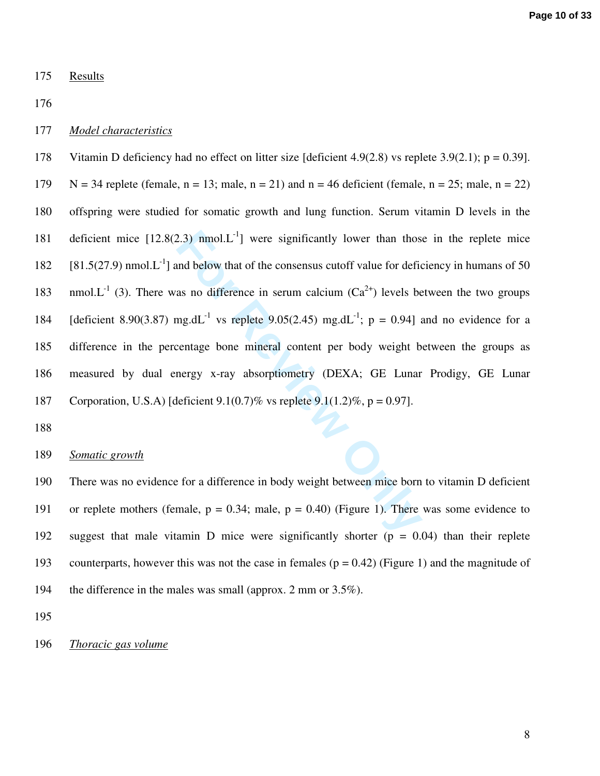175 Results

176

## 177 *Model characteristics*

2.3) nmol.L<sup>1</sup>] were significantly lower than thos<br>
and below that of the consensus cutoff value for defice<br>
as no difference in serum calcium  $(Ca^{2+})$  levels be<br>
ng.dL<sup>-1</sup> vs replete 9.05(2.45) mg.dL<sup>-1</sup>;  $p = 0.94$ ] a<br>
c 178 Vitamin D deficiency had no effect on litter size [deficient 4.9(2.8) vs replete 3.9(2.1);  $p = 0.39$ ]. 179  $N = 34$  replete (female,  $n = 13$ ; male,  $n = 21$ ) and  $n = 46$  deficient (female,  $n = 25$ ; male,  $n = 22$ ) 180 offspring were studied for somatic growth and lung function. Serum vitamin D levels in the 181 deficient mice  $[12.8(2.3) \text{ nmol}$ .  $L^{-1}$  were significantly lower than those in the replete mice  $[81.5(27.9) \text{ nmol.} \text{L}^{-1}]$  and below that of the consensus cutoff value for deficiency in humans of 50 183 nmol. $L^{-1}$  (3). There was no difference in serum calcium ( $Ca^{2+}$ ) levels between the two groups 184 [deficient 8.90(3.87) mg.dL<sup>-1</sup> vs replete 9.05(2.45) mg.dL<sup>-1</sup>; p = 0.94] and no evidence for a 185 difference in the percentage bone mineral content per body weight between the groups as 186 measured by dual energy x-ray absorptiometry (DEXA; GE Lunar Prodigy, GE Lunar 187 Corporation, U.S.A) [deficient  $9.1(0.7)$ % vs replete  $9.1(1.2)$ %, p = 0.97].

188

## 189 *Somatic growth*

190 There was no evidence for a difference in body weight between mice born to vitamin D deficient 191 or replete mothers (female,  $p = 0.34$ ; male,  $p = 0.40$ ) (Figure 1). There was some evidence to 192 suggest that male vitamin D mice were significantly shorter (p = 0.04) than their replete 193 counterparts, however this was not the case in females ( $p = 0.42$ ) (Figure 1) and the magnitude of 194 the difference in the males was small (approx. 2 mm or 3.5%).

195

196 *Thoracic gas volume*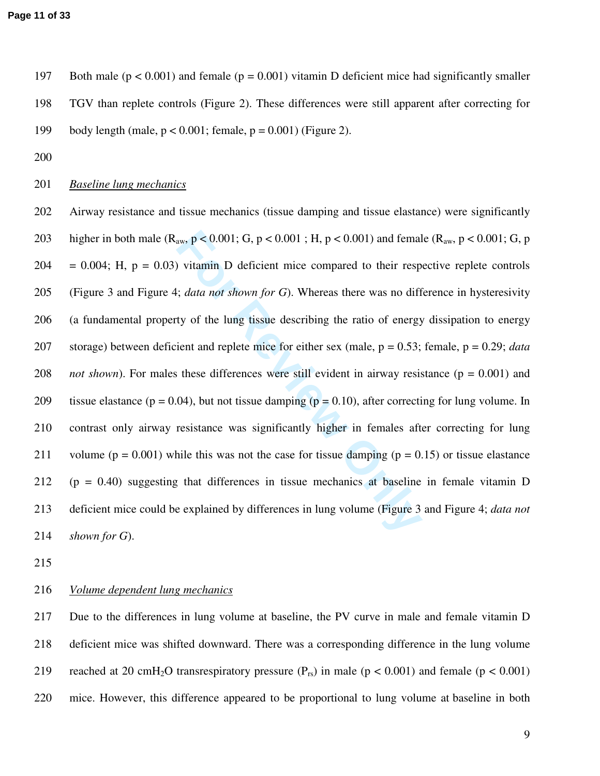197 Both male ( $p < 0.001$ ) and female ( $p = 0.001$ ) vitamin D deficient mice had significantly smaller 198 TGV than replete controls (Figure 2). These differences were still apparent after correcting for 199 body length (male, p < 0.001; female, p = 0.001) (Figure 2).

200

## 201 *Baseline lung mechanics*

East aw,  $p < 0.001$ ; G,  $p < 0.001$ ; H,  $p < 0.001$ ) and femal<br>
For Form Surfamin D deficient mice compared to their resp<br>
For Surfamin D deficient mice compared to their resp<br>
For Surfamin As and shown for G. Whereas there 202 Airway resistance and tissue mechanics (tissue damping and tissue elastance) were significantly 203 higher in both male ( $R_{aw}$ ,  $p < 0.001$ ; G,  $p < 0.001$ ; H,  $p < 0.001$ ) and female ( $R_{aw}$ ,  $p < 0.001$ ; G,  $p$  $204 = 0.004$ ; H,  $p = 0.03$ ) vitamin D deficient mice compared to their respective replete controls 205 (Figure 3 and Figure 4; *data not shown for G*). Whereas there was no difference in hysteresivity 206 (a fundamental property of the lung tissue describing the ratio of energy dissipation to energy 207 storage) between deficient and replete mice for either sex (male, p = 0.53; female, p = 0.29; *data*  208 *not shown*). For males these differences were still evident in airway resistance ( $p = 0.001$ ) and 209 tissue elastance ( $p = 0.04$ ), but not tissue damping ( $p = 0.10$ ), after correcting for lung volume. In 210 contrast only airway resistance was significantly higher in females after correcting for lung 211 volume ( $p = 0.001$ ) while this was not the case for tissue damping ( $p = 0.15$ ) or tissue elastance 212 (p = 0.40) suggesting that differences in tissue mechanics at baseline in female vitamin D 213 deficient mice could be explained by differences in lung volume (Figure 3 and Figure 4; *data not*  214 *shown for G*).

215

## 216 *Volume dependent lung mechanics*

217 Due to the differences in lung volume at baseline, the PV curve in male and female vitamin D 218 deficient mice was shifted downward. There was a corresponding difference in the lung volume 219 reached at 20 cmH<sub>2</sub>O transrespiratory pressure  $(P_{rs})$  in male  $(p < 0.001)$  and female  $(p < 0.001)$ 220 mice. However, this difference appeared to be proportional to lung volume at baseline in both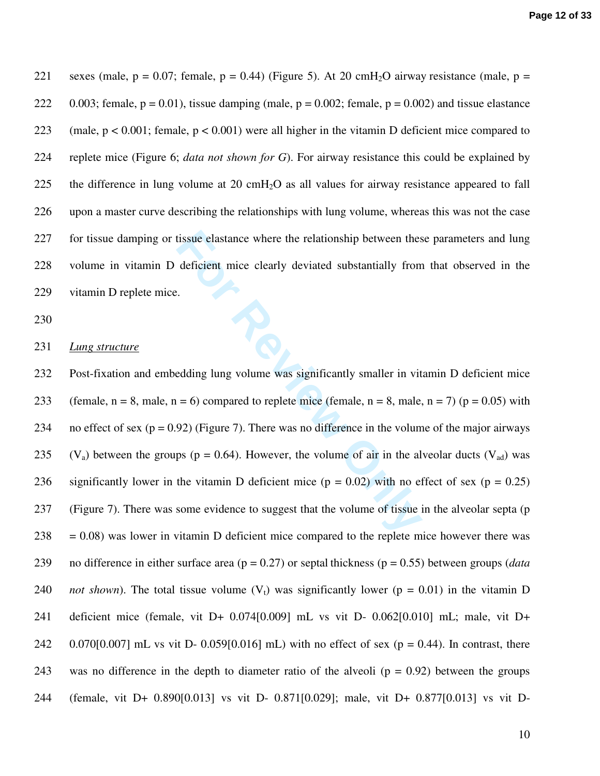221 sexes (male,  $p = 0.07$ ; female,  $p = 0.44$ ) (Figure 5). At 20 cmH<sub>2</sub>O airway resistance (male,  $p =$ 222 0.003; female,  $p = 0.01$ ), tissue damping (male,  $p = 0.002$ ; female,  $p = 0.002$ ) and tissue elastance 223 (male, p < 0.001; female, p < 0.001) were all higher in the vitamin D deficient mice compared to 224 replete mice (Figure 6; *data not shown for G*). For airway resistance this could be explained by 225 the difference in lung volume at 20  $\text{cm}H_2\text{O}$  as all values for airway resistance appeared to fall 226 upon a master curve describing the relationships with lung volume, whereas this was not the case 227 for tissue damping or tissue elastance where the relationship between these parameters and lung 228 volume in vitamin D deficient mice clearly deviated substantially from that observed in the 229 vitamin D replete mice.

230

#### 231 *Lung structure*

tissue elastance where the relationship between thes<br>deficient mice clearly deviated substantially from<br> $\therefore$ <br> $\therefore$ <br> $\therefore$ <br> $\therefore$ <br> $\therefore$ <br> $\therefore$ <br> $\therefore$ <br> $\therefore$ <br> $\therefore$ <br> $\therefore$   $\therefore$   $\therefore$   $\therefore$   $\therefore$   $\therefore$   $\therefore$   $\therefore$   $\therefore$   $\therefore$   $\there$ 232 Post-fixation and embedding lung volume was significantly smaller in vitamin D deficient mice 233 (female,  $n = 8$ , male,  $n = 6$ ) compared to replete mice (female,  $n = 8$ , male,  $n = 7$ ) ( $p = 0.05$ ) with 234 no effect of sex ( $p = 0.92$ ) (Figure 7). There was no difference in the volume of the major airways 235  $(V_a)$  between the groups (p = 0.64). However, the volume of air in the alveolar ducts  $(V_{ad})$  was 236 significantly lower in the vitamin D deficient mice ( $p = 0.02$ ) with no effect of sex ( $p = 0.25$ ) 237 (Figure 7). There was some evidence to suggest that the volume of tissue in the alveolar septa (p  $238 = 0.08$ ) was lower in vitamin D deficient mice compared to the replete mice however there was 239 no difference in either surface area (p = 0.27) or septal thickness (p = 0.55) between groups (*data*  240 *not shown*). The total tissue volume  $(V_t)$  was significantly lower ( $p = 0.01$ ) in the vitamin D 241 deficient mice (female, vit D+ 0.074[0.009] mL vs vit D- 0.062[0.010] mL; male, vit D+ 242 0.070[0.007] mL vs vit D- 0.059[0.016] mL) with no effect of sex ( $p = 0.44$ ). In contrast, there 243 was no difference in the depth to diameter ratio of the alveoli  $(p = 0.92)$  between the groups 244 (female, vit D+ 0.890[0.013] vs vit D- 0.871[0.029]; male, vit D+ 0.877[0.013] vs vit D-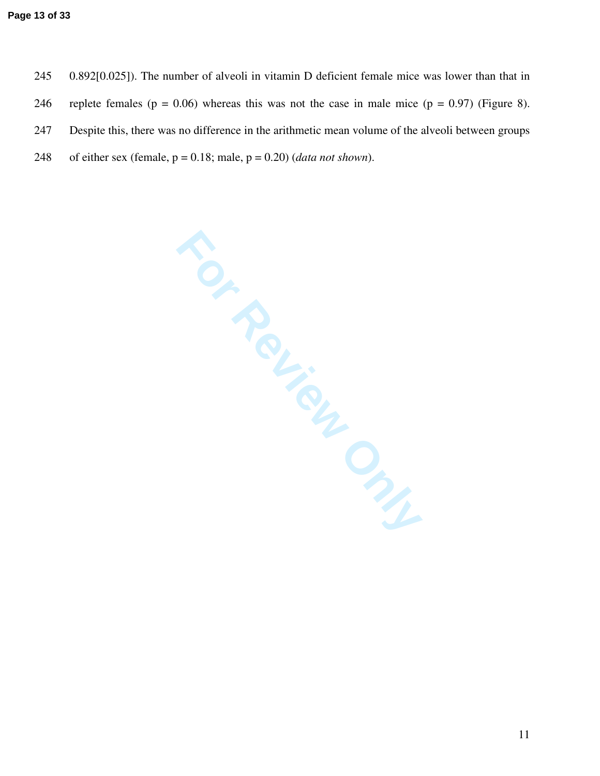- 245 0.892[0.025]). The number of alveoli in vitamin D deficient female mice was lower than that in
- 246 replete females ( $p = 0.06$ ) whereas this was not the case in male mice ( $p = 0.97$ ) (Figure 8).
- 247 Despite this, there was no difference in the arithmetic mean volume of the alveoli between groups
- 248 of either sex (female,  $p = 0.18$ ; male,  $p = 0.20$ ) (*data not shown*).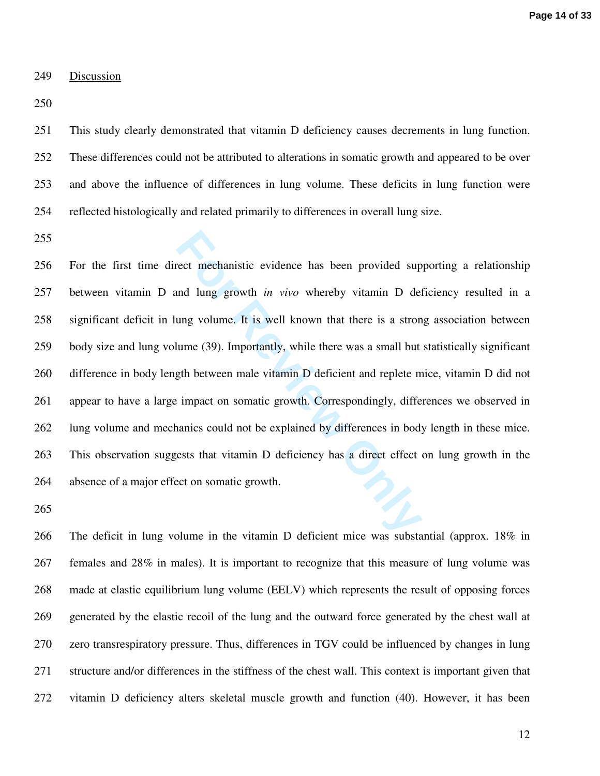#### 249 Discussion

250

251 This study clearly demonstrated that vitamin D deficiency causes decrements in lung function. 252 These differences could not be attributed to alterations in somatic growth and appeared to be over 253 and above the influence of differences in lung volume. These deficits in lung function were 254 reflected histologically and related primarily to differences in overall lung size.

255

rect mechanistic evidence has been provided sup<br>and lung growth *in vivo* whereby vitamin D det<br>ang volume. It is well known that there is a stron<br>alume (39). Importantly, while there was a small but<br>gth between male vitam 256 For the first time direct mechanistic evidence has been provided supporting a relationship 257 between vitamin D and lung growth *in vivo* whereby vitamin D deficiency resulted in a 258 significant deficit in lung volume. It is well known that there is a strong association between 259 body size and lung volume (39). Importantly, while there was a small but statistically significant 260 difference in body length between male vitamin D deficient and replete mice, vitamin D did not 261 appear to have a large impact on somatic growth. Correspondingly, differences we observed in 262 lung volume and mechanics could not be explained by differences in body length in these mice. 263 This observation suggests that vitamin D deficiency has a direct effect on lung growth in the 264 absence of a major effect on somatic growth.

265

266 The deficit in lung volume in the vitamin D deficient mice was substantial (approx. 18% in 267 females and 28% in males). It is important to recognize that this measure of lung volume was 268 made at elastic equilibrium lung volume (EELV) which represents the result of opposing forces 269 generated by the elastic recoil of the lung and the outward force generated by the chest wall at 270 zero transrespiratory pressure. Thus, differences in TGV could be influenced by changes in lung 271 structure and/or differences in the stiffness of the chest wall. This context is important given that 272 vitamin D deficiency alters skeletal muscle growth and function (40). However, it has been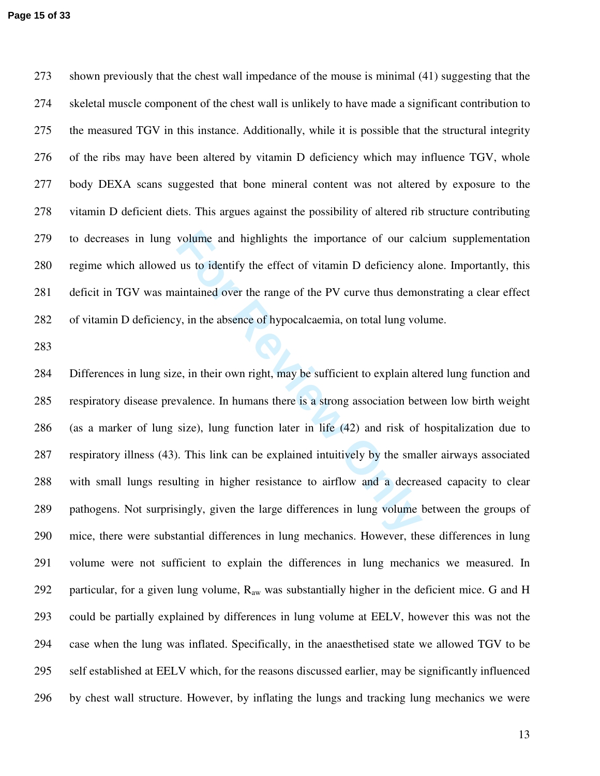273 shown previously that the chest wall impedance of the mouse is minimal (41) suggesting that the 274 skeletal muscle component of the chest wall is unlikely to have made a significant contribution to 275 the measured TGV in this instance. Additionally, while it is possible that the structural integrity 276 of the ribs may have been altered by vitamin D deficiency which may influence TGV, whole 277 body DEXA scans suggested that bone mineral content was not altered by exposure to the 278 vitamin D deficient diets. This argues against the possibility of altered rib structure contributing 279 to decreases in lung volume and highlights the importance of our calcium supplementation 280 regime which allowed us to identify the effect of vitamin D deficiency alone. Importantly, this 281 deficit in TGV was maintained over the range of the PV curve thus demonstrating a clear effect 282 of vitamin D deficiency, in the absence of hypocalcaemia, on total lung volume.

283

volume and highlights the importance of our cal<br>us to identify the effect of vitamin D deficiency a<br>aintained over the range of the PV curve thus demo<br>y, in the absence of hypocalcaemia, on total lung vol<br>e, in their own r 284 Differences in lung size, in their own right, may be sufficient to explain altered lung function and 285 respiratory disease prevalence. In humans there is a strong association between low birth weight 286 (as a marker of lung size), lung function later in life (42) and risk of hospitalization due to 287 respiratory illness (43). This link can be explained intuitively by the smaller airways associated 288 with small lungs resulting in higher resistance to airflow and a decreased capacity to clear 289 pathogens. Not surprisingly, given the large differences in lung volume between the groups of 290 mice, there were substantial differences in lung mechanics. However, these differences in lung 291 volume were not sufficient to explain the differences in lung mechanics we measured. In 292 particular, for a given lung volume,  $R_{aw}$  was substantially higher in the deficient mice. G and H 293 could be partially explained by differences in lung volume at EELV, however this was not the 294 case when the lung was inflated. Specifically, in the anaesthetised state we allowed TGV to be 295 self established at EELV which, for the reasons discussed earlier, may be significantly influenced 296 by chest wall structure. However, by inflating the lungs and tracking lung mechanics we were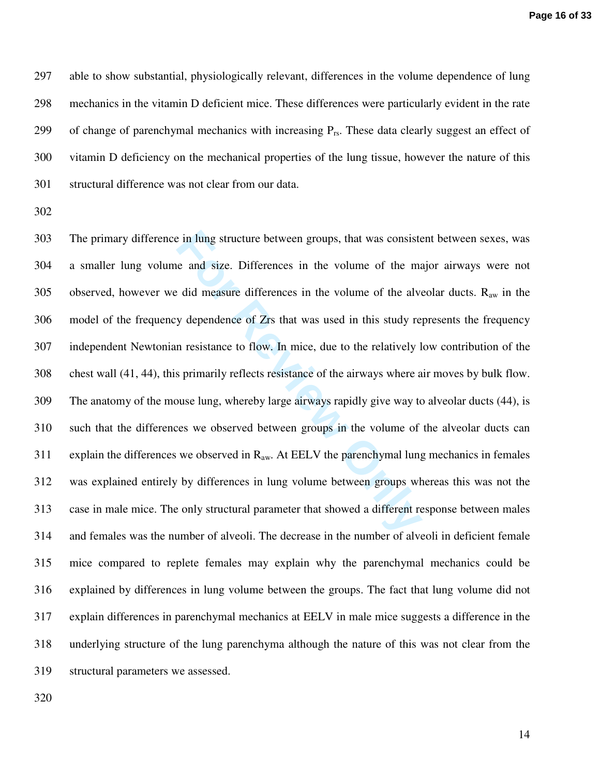297 able to show substantial, physiologically relevant, differences in the volume dependence of lung 298 mechanics in the vitamin D deficient mice. These differences were particularly evident in the rate 299 of change of parenchymal mechanics with increasing  $P_{rs}$ . These data clearly suggest an effect of 300 vitamin D deficiency on the mechanical properties of the lung tissue, however the nature of this 301 structural difference was not clear from our data.

302

Equal to the size of the volume of the mass on the volume of the mass on the volume of the mass of the mass of the size of Zrs that was used in this study re n resistance to flow. In mice, due to the relatively l sprimari 303 The primary difference in lung structure between groups, that was consistent between sexes, was 304 a smaller lung volume and size. Differences in the volume of the major airways were not 305 observed, however we did measure differences in the volume of the alveolar ducts.  $R_{aw}$  in the 306 model of the frequency dependence of Zrs that was used in this study represents the frequency 307 independent Newtonian resistance to flow. In mice, due to the relatively low contribution of the 308 chest wall (41, 44), this primarily reflects resistance of the airways where air moves by bulk flow. 309 The anatomy of the mouse lung, whereby large airways rapidly give way to alveolar ducts (44), is 310 such that the differences we observed between groups in the volume of the alveolar ducts can 311 explain the differences we observed in  $R_{aw}$ . At EELV the parenchymal lung mechanics in females 312 was explained entirely by differences in lung volume between groups whereas this was not the 313 case in male mice. The only structural parameter that showed a different response between males 314 and females was the number of alveoli. The decrease in the number of alveoli in deficient female 315 mice compared to replete females may explain why the parenchymal mechanics could be 316 explained by differences in lung volume between the groups. The fact that lung volume did not 317 explain differences in parenchymal mechanics at EELV in male mice suggests a difference in the 318 underlying structure of the lung parenchyma although the nature of this was not clear from the 319 structural parameters we assessed.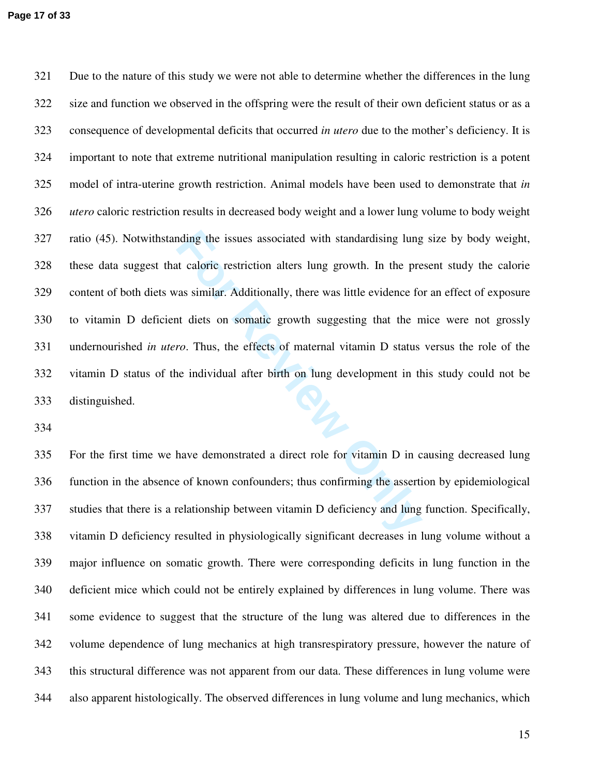nding the issues associated with standardising lung<br>to caloric restriction alters lung growth. In the pre-<br>as similar. Additionally, there was little evidence for<br>to diets on somatic growth suggesting that the n-<br>ro. Thus, 321 Due to the nature of this study we were not able to determine whether the differences in the lung 322 size and function we observed in the offspring were the result of their own deficient status or as a 323 consequence of developmental deficits that occurred *in utero* due to the mother's deficiency. It is 324 important to note that extreme nutritional manipulation resulting in caloric restriction is a potent 325 model of intra-uterine growth restriction. Animal models have been used to demonstrate that *in*  326 *utero* caloric restriction results in decreased body weight and a lower lung volume to body weight 327 ratio (45). Notwithstanding the issues associated with standardising lung size by body weight, 328 these data suggest that caloric restriction alters lung growth. In the present study the calorie 329 content of both diets was similar. Additionally, there was little evidence for an effect of exposure 330 to vitamin D deficient diets on somatic growth suggesting that the mice were not grossly 331 undernourished *in utero*. Thus, the effects of maternal vitamin D status versus the role of the 332 vitamin D status of the individual after birth on lung development in this study could not be 333 distinguished.

334

335 For the first time we have demonstrated a direct role for vitamin D in causing decreased lung 336 function in the absence of known confounders; thus confirming the assertion by epidemiological 337 studies that there is a relationship between vitamin D deficiency and lung function. Specifically, 338 vitamin D deficiency resulted in physiologically significant decreases in lung volume without a 339 major influence on somatic growth. There were corresponding deficits in lung function in the 340 deficient mice which could not be entirely explained by differences in lung volume. There was 341 some evidence to suggest that the structure of the lung was altered due to differences in the 342 volume dependence of lung mechanics at high transrespiratory pressure, however the nature of 343 this structural difference was not apparent from our data. These differences in lung volume were 344 also apparent histologically. The observed differences in lung volume and lung mechanics, which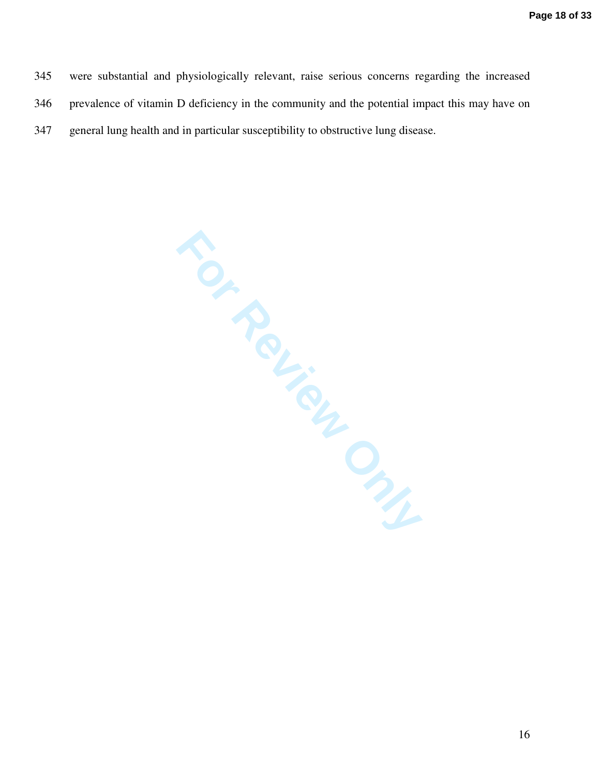345 were substantial and physiologically relevant, raise serious concerns regarding the increased 346 prevalence of vitamin D deficiency in the community and the potential impact this may have on 347 general lung health and in particular susceptibility to obstructive lung disease.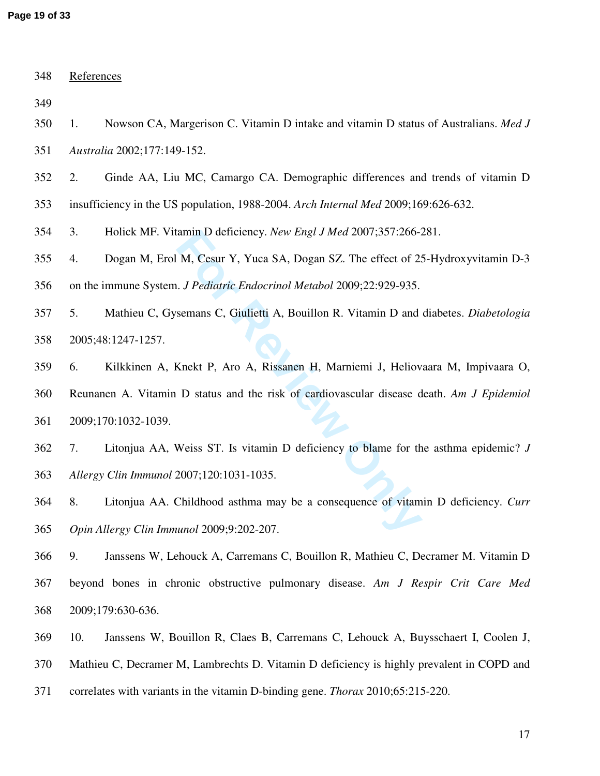| 348 | References                                                                                 |  |  |
|-----|--------------------------------------------------------------------------------------------|--|--|
| 349 |                                                                                            |  |  |
| 350 | Nowson CA, Margerison C. Vitamin D intake and vitamin D status of Australians. Med J<br>1. |  |  |
| 351 | Australia 2002;177:149-152.                                                                |  |  |
| 352 | 2.<br>Ginde AA, Liu MC, Camargo CA. Demographic differences and trends of vitamin D        |  |  |
| 353 | insufficiency in the US population, 1988-2004. Arch Internal Med 2009;169:626-632.         |  |  |
| 354 | 3.<br>Holick MF. Vitamin D deficiency. New Engl J Med 2007;357:266-281.                    |  |  |
| 355 | Dogan M, Erol M, Cesur Y, Yuca SA, Dogan SZ. The effect of 25-Hydroxyvitamin D-3<br>4.     |  |  |
| 356 | on the immune System. J Pediatric Endocrinol Metabol 2009;22:929-935.                      |  |  |
| 357 | 5.<br>Mathieu C, Gysemans C, Giulietti A, Bouillon R. Vitamin D and diabetes. Diabetologia |  |  |
| 358 | 2005;48:1247-1257.                                                                         |  |  |
| 359 | Kilkkinen A, Knekt P, Aro A, Rissanen H, Marniemi J, Heliovaara M, Impivaara O,<br>6.      |  |  |
| 360 | Reunanen A. Vitamin D status and the risk of cardiovascular disease death. Am J Epidemiol  |  |  |
| 361 | 2009;170:1032-1039.                                                                        |  |  |
| 362 | Litonjua AA, Weiss ST. Is vitamin D deficiency to blame for the asthma epidemic? J<br>7.   |  |  |
| 363 | Allergy Clin Immunol 2007;120:1031-1035.                                                   |  |  |
| 364 | Litonjua AA. Childhood asthma may be a consequence of vitamin D deficiency. Curr<br>8.     |  |  |
| 365 | Opin Allergy Clin Immunol 2009;9:202-207.                                                  |  |  |
| 366 | Janssens W, Lehouck A, Carremans C, Bouillon R, Mathieu C, Decramer M. Vitamin D<br>9.     |  |  |
| 367 | beyond bones in chronic obstructive pulmonary disease. Am J Respir Crit Care Med           |  |  |
| 368 | 2009;179:630-636.                                                                          |  |  |
| 369 | 10.<br>Janssens W, Bouillon R, Claes B, Carremans C, Lehouck A, Buysschaert I, Coolen J,   |  |  |
| 370 | Mathieu C, Decramer M, Lambrechts D. Vitamin D deficiency is highly prevalent in COPD and  |  |  |
| 371 | correlates with variants in the vitamin D-binding gene. <i>Thorax</i> 2010;65:215-220.     |  |  |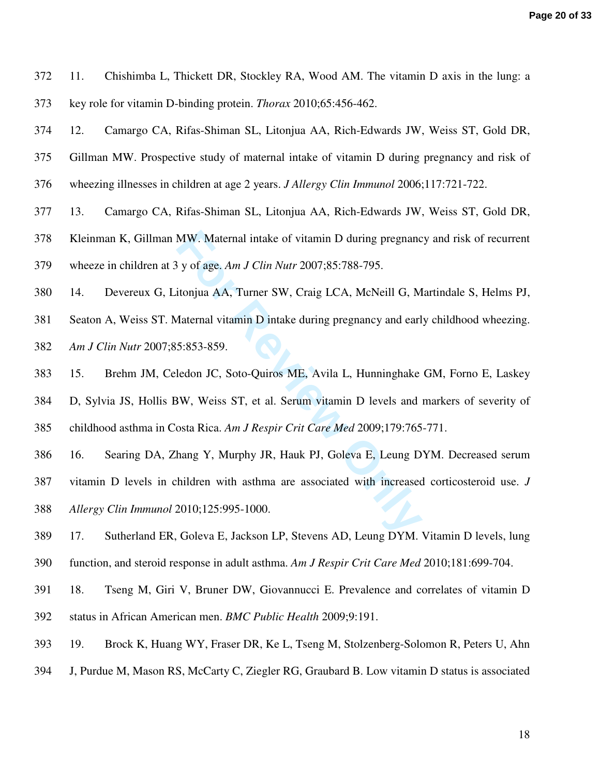- 372 11. Chishimba L, Thickett DR, Stockley RA, Wood AM. The vitamin D axis in the lung: a 373 key role for vitamin D-binding protein. *Thorax* 2010;65:456-462.
- 374 12. Camargo CA, Rifas-Shiman SL, Litonjua AA, Rich-Edwards JW, Weiss ST, Gold DR,
- 375 Gillman MW. Prospective study of maternal intake of vitamin D during pregnancy and risk of
- 376 wheezing illnesses in children at age 2 years. *J Allergy Clin Immunol* 2006;117:721-722.
- 377 13. Camargo CA, Rifas-Shiman SL, Litonjua AA, Rich-Edwards JW, Weiss ST, Gold DR,
- 378 Kleinman K, Gillman MW. Maternal intake of vitamin D during pregnancy and risk of recurrent 379 wheeze in children at 3 y of age. *Am J Clin Nutr* 2007;85:788-795.
- 380 14. Devereux G, Litonjua AA, Turner SW, Craig LCA, McNeill G, Martindale S, Helms PJ,
- 381 Seaton A, Weiss ST. Maternal vitamin D intake during pregnancy and early childhood wheezing. 382 *Am J Clin Nutr* 2007;85:853-859.
- 383 15. Brehm JM, Celedon JC, Soto-Quiros ME, Avila L, Hunninghake GM, Forno E, Laskey
- MW. Maternal intake of vitamin D during pregnanc<br> **For Review And** *For Clin Nutr* 2007;85:788-795.<br>
itonjua AA, Turner SW, Craig LCA, McNeill G, M<br> *Aaternal vitamin* D intake during pregnancy and earl<br>
5:853-859.<br>
ledon 384 D, Sylvia JS, Hollis BW, Weiss ST, et al. Serum vitamin D levels and markers of severity of 385 childhood asthma in Costa Rica. *Am J Respir Crit Care Med* 2009;179:765-771.
- 386 16. Searing DA, Zhang Y, Murphy JR, Hauk PJ, Goleva E, Leung DYM. Decreased serum
- 387 vitamin D levels in children with asthma are associated with increased corticosteroid use. *J*  388 *Allergy Clin Immunol* 2010;125:995-1000.
- 389 17. Sutherland ER, Goleva E, Jackson LP, Stevens AD, Leung DYM. Vitamin D levels, lung 390 function, and steroid response in adult asthma. *Am J Respir Crit Care Med* 2010;181:699-704.
- 391 18. Tseng M, Giri V, Bruner DW, Giovannucci E. Prevalence and correlates of vitamin D 392 status in African American men. *BMC Public Health* 2009;9:191.
- 393 19. Brock K, Huang WY, Fraser DR, Ke L, Tseng M, Stolzenberg-Solomon R, Peters U, Ahn
- 394 J, Purdue M, Mason RS, McCarty C, Ziegler RG, Graubard B. Low vitamin D status is associated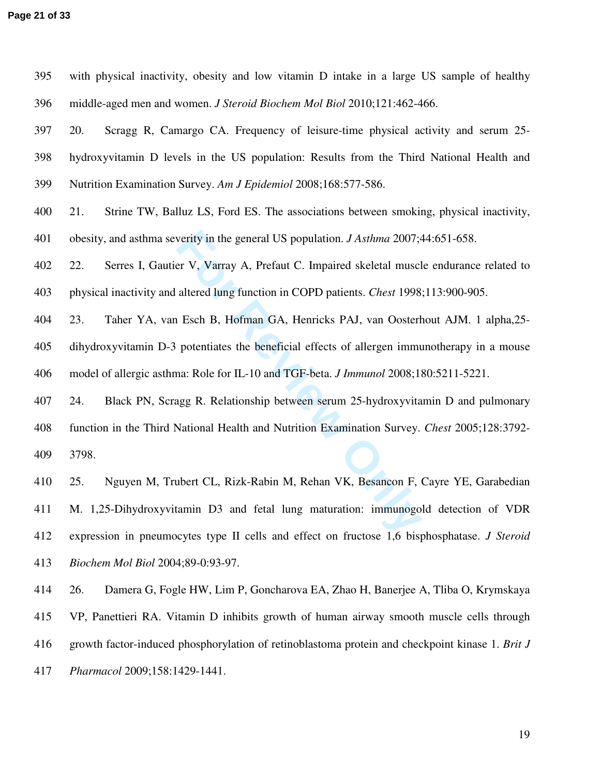| 395 | with physical inactivity, obesity and low vitamin D intake in a large US sample of healthy          |
|-----|-----------------------------------------------------------------------------------------------------|
| 396 | middle-aged men and women. J Steroid Biochem Mol Biol 2010;121:462-466.                             |
| 397 | Scragg R, Camargo CA. Frequency of leisure-time physical activity and serum 25-<br>20.              |
| 398 | hydroxyvitamin D levels in the US population: Results from the Third National Health and            |
| 399 | Nutrition Examination Survey. Am J Epidemiol 2008;168:577-586.                                      |
| 400 | 21.<br>Strine TW, Balluz LS, Ford ES. The associations between smoking, physical inactivity,        |
| 401 | obesity, and asthma severity in the general US population. <i>J Asthma</i> 2007;44:651-658.         |
| 402 | Serres I, Gautier V, Varray A, Prefaut C. Impaired skeletal muscle endurance related to<br>22.      |
| 403 | physical inactivity and altered lung function in COPD patients. <i>Chest</i> 1998;113:900-905.      |
| 404 | 23.<br>Taher YA, van Esch B, Hofman GA, Henricks PAJ, van Oosterhout AJM. 1 alpha, 25-              |
| 405 | dihydroxyvitamin D-3 potentiates the beneficial effects of allergen immunotherapy in a mouse        |
| 406 | model of allergic asthma: Role for IL-10 and TGF-beta. J Immunol 2008;180:5211-5221.                |
| 407 | Black PN, Scragg R. Relationship between serum 25-hydroxyvitamin D and pulmonary<br>24.             |
| 408 | function in the Third National Health and Nutrition Examination Survey. Chest 2005;128:3792-        |
| 409 | 3798.                                                                                               |
| 410 | Nguyen M, Trubert CL, Rizk-Rabin M, Rehan VK, Besancon F, Cayre YE, Garabedian<br>25.               |
| 411 | M. 1,25-Dihydroxyvitamin D3 and fetal lung maturation: immunogold detection of VDR                  |
| 412 | expression in pneumocytes type II cells and effect on fructose 1,6 bisphosphatase. <i>J Steroid</i> |

412 expression in pneumocytes type II cells and effect on fructose 1,6 bisphosphatase. *J Steroid*  413 *Biochem Mol Biol* 2004;89-0:93-97.

414 26. Damera G, Fogle HW, Lim P, Goncharova EA, Zhao H, Banerjee A, Tliba O, Krymskaya 415 VP, Panettieri RA. Vitamin D inhibits growth of human airway smooth muscle cells through 416 growth factor-induced phosphorylation of retinoblastoma protein and checkpoint kinase 1. *Brit J*  417 *Pharmacol* 2009;158:1429-1441.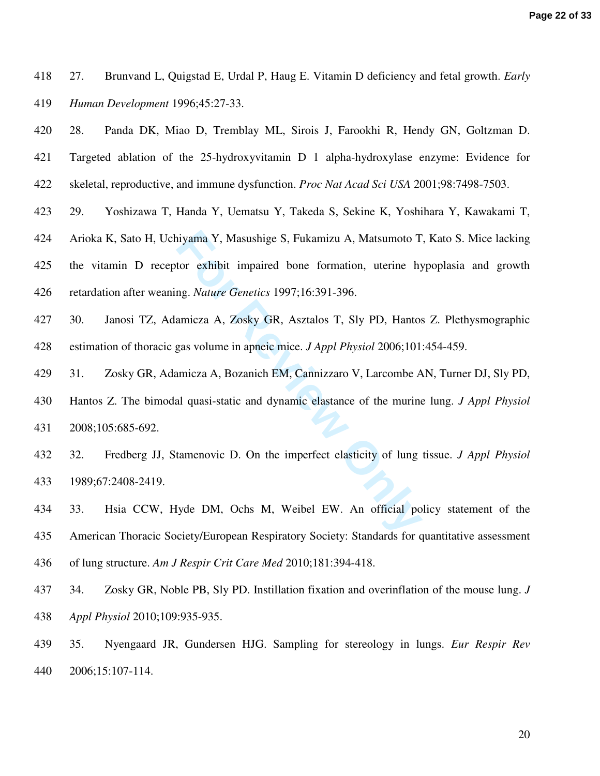418 27. Brunvand L, Quigstad E, Urdal P, Haug E. Vitamin D deficiency and fetal growth. *Early*  419 *Human Development* 1996;45:27-33.

420 28. Panda DK, Miao D, Tremblay ML, Sirois J, Farookhi R, Hendy GN, Goltzman D.

421 Targeted ablation of the 25-hydroxyvitamin D 1 alpha-hydroxylase enzyme: Evidence for

- 422 skeletal, reproductive, and immune dysfunction. *Proc Nat Acad Sci USA* 2001;98:7498-7503.
- 423 29. Yoshizawa T, Handa Y, Uematsu Y, Takeda S, Sekine K, Yoshihara Y, Kawakami T,
- 424 Arioka K, Sato H, Uchiyama Y, Masushige S, Fukamizu A, Matsumoto T, Kato S. Mice lacking

425 the vitamin D receptor exhibit impaired bone formation, uterine hypoplasia and growth 426 retardation after weaning. *Nature Genetics* 1997;16:391-396.

- 427 30. Janosi TZ, Adamicza A, Zosky GR, Asztalos T, Sly PD, Hantos Z. Plethysmographic 428 estimation of thoracic gas volume in apneic mice. *J Appl Physiol* 2006;101:454-459.
- 429 31. Zosky GR, Adamicza A, Bozanich EM, Cannizzaro V, Larcombe AN, Turner DJ, Sly PD,
- ityama Y, Masushige S, Fukamizu A, Matsumoto T<br>tor exhibit impaired bone formation, uterine hy<br>ng. *Nature Genetics* 1997;16:391-396.<br>amicza A, Zosky GR, Asztalos T, Sly PD, Hantos<br>gas volume in apneic mice. *J Appl Physio* 430 Hantos Z. The bimodal quasi-static and dynamic elastance of the murine lung. *J Appl Physiol*  431 2008;105:685-692.
- 432 32. Fredberg JJ, Stamenovic D. On the imperfect elasticity of lung tissue. *J Appl Physiol*  433 1989;67:2408-2419.
- 434 33. Hsia CCW, Hyde DM, Ochs M, Weibel EW. An official policy statement of the 435 American Thoracic Society/European Respiratory Society: Standards for quantitative assessment 436 of lung structure. *Am J Respir Crit Care Med* 2010;181:394-418.
- 437 34. Zosky GR, Noble PB, Sly PD. Instillation fixation and overinflation of the mouse lung. *J*  438 *Appl Physiol* 2010;109:935-935.
- 439 35. Nyengaard JR, Gundersen HJG. Sampling for stereology in lungs. *Eur Respir Rev*  440 2006;15:107-114.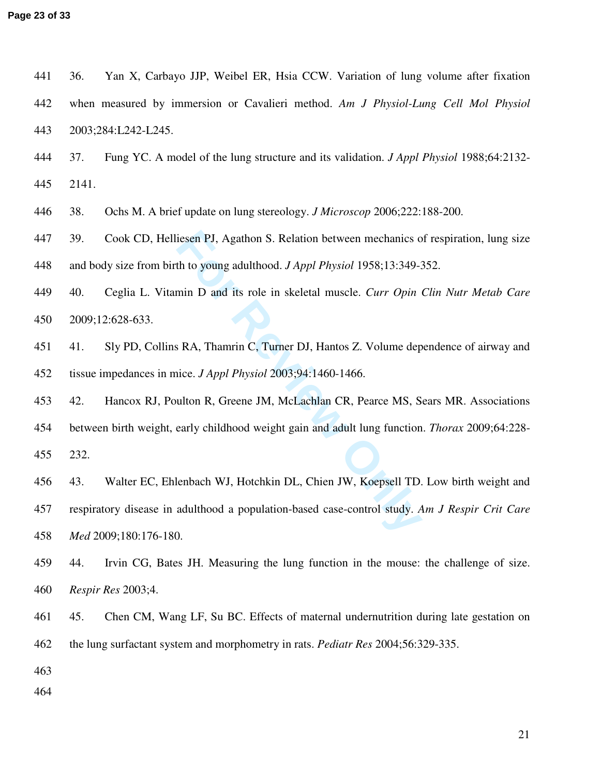**Page 23 of 33**

| 441 | 36.   | Yan X, Carbayo JJP, Weibel ER, Hsia CCW. Variation of lung volume after fixation               |
|-----|-------|------------------------------------------------------------------------------------------------|
| 442 |       | when measured by immersion or Cavalieri method. Am J Physiol-Lung Cell Mol Physiol             |
| 443 |       | 2003;284:L242-L245.                                                                            |
| 444 | 37.   | Fung YC. A model of the lung structure and its validation. <i>J Appl Physiol</i> 1988;64:2132- |
| 445 | 2141. |                                                                                                |
| 446 | 38.   | Ochs M. A brief update on lung stereology. <i>J Microscop</i> 2006;222:188-200.                |
| 447 | 39.   | Cook CD, Helliesen PJ, Agathon S. Relation between mechanics of respiration, lung size         |
| 448 |       | and body size from birth to young adulthood. <i>J Appl Physiol</i> 1958;13:349-352.            |
| 449 | 40.   | Ceglia L. Vitamin D and its role in skeletal muscle. Curr Opin Clin Nutr Metab Care            |
| 450 |       | 2009;12:628-633.                                                                               |
| 451 | 41.   | Sly PD, Collins RA, Thamrin C, Turner DJ, Hantos Z. Volume dependence of airway and            |
| 452 |       | tissue impedances in mice. J Appl Physiol 2003;94:1460-1466.                                   |
| 453 | 42.   | Hancox RJ, Poulton R, Greene JM, McLachlan CR, Pearce MS, Sears MR. Associations               |
| 454 |       | between birth weight, early childhood weight gain and adult lung function. Thorax 2009;64:228- |
| 455 | 232.  |                                                                                                |
| 456 | 43.   | Walter EC, Ehlenbach WJ, Hotchkin DL, Chien JW, Koepsell TD. Low birth weight and              |
| 457 |       | respiratory disease in adulthood a population-based case-control study. Am J Respir Crit Care  |
| 458 |       | Med 2009;180:176-180.                                                                          |
| 459 | 44.   | Irvin CG, Bates JH. Measuring the lung function in the mouse: the challenge of size.           |
| 460 |       | Respir Res 2003;4.                                                                             |
| 461 | 45.   | Chen CM, Wang LF, Su BC. Effects of maternal undernutrition during late gestation on           |
| 462 |       | the lung surfactant system and morphometry in rats. <i>Pediatr Res</i> 2004;56:329-335.        |
| 463 |       |                                                                                                |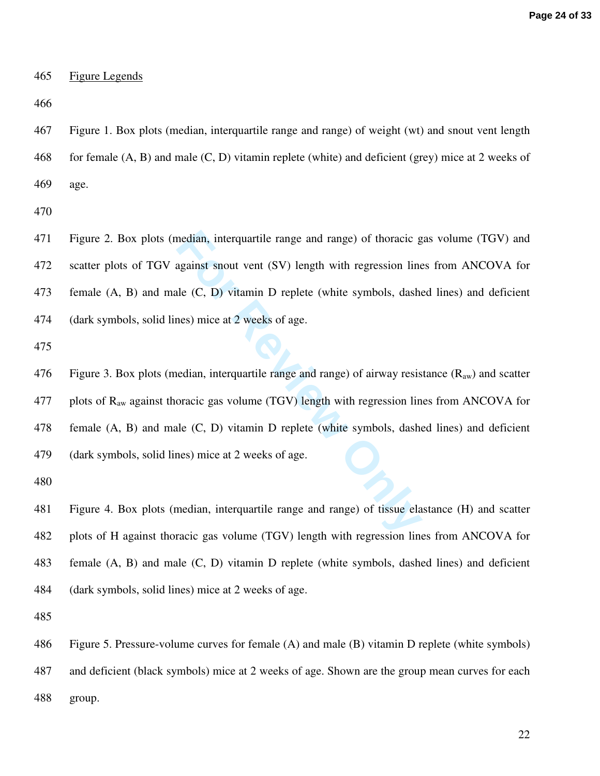### 465 Figure Legends

466

467 Figure 1. Box plots (median, interquartile range and range) of weight (wt) and snout vent length 468 for female (A, B) and male (C, D) vitamin replete (white) and deficient (grey) mice at 2 weeks of 469 age.

470

471 Figure 2. Box plots (median, interquartile range and range) of thoracic gas volume (TGV) and 472 scatter plots of TGV against snout vent (SV) length with regression lines from ANCOVA for 473 female (A, B) and male (C, D) vitamin D replete (white symbols, dashed lines) and deficient 474 (dark symbols, solid lines) mice at 2 weeks of age.

475

median, interquartile range and range) of thoracic g<br>against snout vent (SV) length with regression line<br>the (C, D) vitamin D replete (white symbols, dashe<br>nes) mice at 2 weeks of age.<br>edian, interquartile range and range) 476 Figure 3. Box plots (median, interquartile range and range) of airway resistance  $(R_{aw})$  and scatter 477 plots of  $R_{aw}$  against thoracic gas volume (TGV) length with regression lines from ANCOVA for 478 female (A, B) and male (C, D) vitamin D replete (white symbols, dashed lines) and deficient 479 (dark symbols, solid lines) mice at 2 weeks of age.

480

481 Figure 4. Box plots (median, interquartile range and range) of tissue elastance (H) and scatter 482 plots of H against thoracic gas volume (TGV) length with regression lines from ANCOVA for 483 female (A, B) and male (C, D) vitamin D replete (white symbols, dashed lines) and deficient 484 (dark symbols, solid lines) mice at 2 weeks of age.

485

486 Figure 5. Pressure-volume curves for female (A) and male (B) vitamin D replete (white symbols) 487 and deficient (black symbols) mice at 2 weeks of age. Shown are the group mean curves for each 488 group.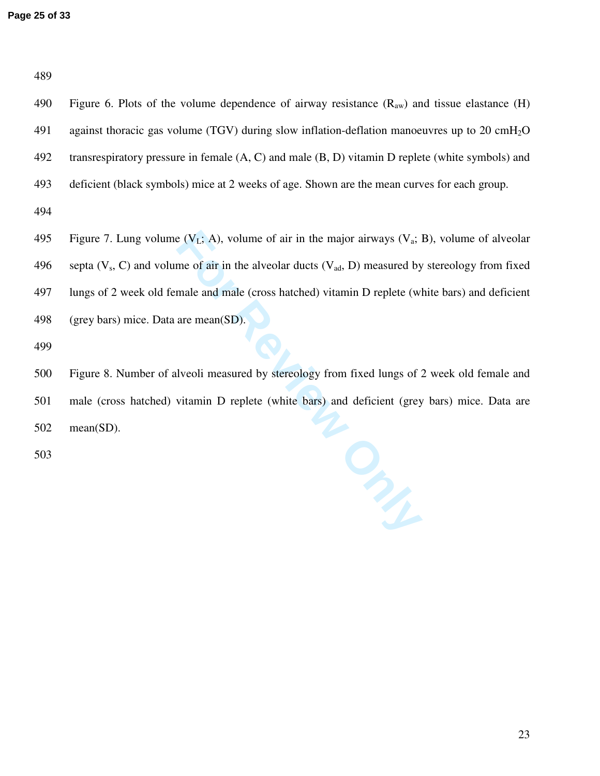489

490 Figure 6. Plots of the volume dependence of airway resistance  $(R_{aw})$  and tissue elastance  $(H)$ 491 against thoracic gas volume (TGV) during slow inflation-deflation manoeuvres up to 20 cm $H_2O$ 492 transrespiratory pressure in female (A, C) and male (B, D) vitamin D replete (white symbols) and 493 deficient (black symbols) mice at 2 weeks of age. Shown are the mean curves for each group. 494

EXECT: A), volume of air in the major airways (V<sub>a</sub>; 2)<br>me of air in the alveolar ducts (V<sub>ad</sub>, D) measured by<br>male and male (cross hatched) vitamin D replete (wl<br>are mean(SD).<br><br>are mean(SD).<br><br><br><br><br><br><br><br><br><br><br><br><br><br><br><br><br><br><br><br><br><br><br><br><br><br><br><br><br><br> 495 Figure 7. Lung volume  $(V_L; A)$ , volume of air in the major airways  $(V_a; B)$ , volume of alveolar 496 septa ( $V_s$ , C) and volume of air in the alveolar ducts ( $V_{ad}$ , D) measured by stereology from fixed 497 lungs of 2 week old female and male (cross hatched) vitamin D replete (white bars) and deficient 498 (grey bars) mice. Data are mean(SD).

499

500 Figure 8. Number of alveoli measured by stereology from fixed lungs of 2 week old female and 501 male (cross hatched) vitamin D replete (white bars) and deficient (grey bars) mice. Data are 502 mean(SD).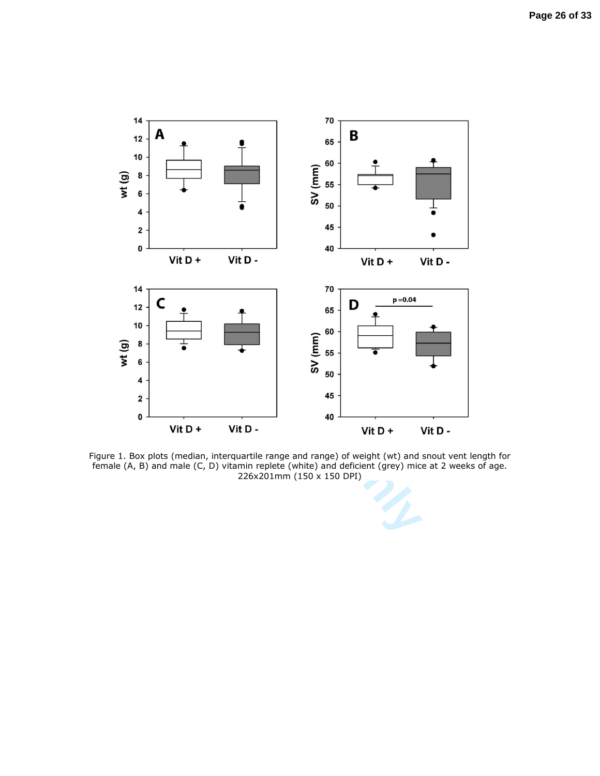

Figure 1. Box plots (median, interquartile range and range) of weight (wt) and snout vent length for female (A, B) and male (C, D) vitamin replete (white) and deficient (grey) mice at 2 weeks of age. 226x201mm (150 x 150 DPI)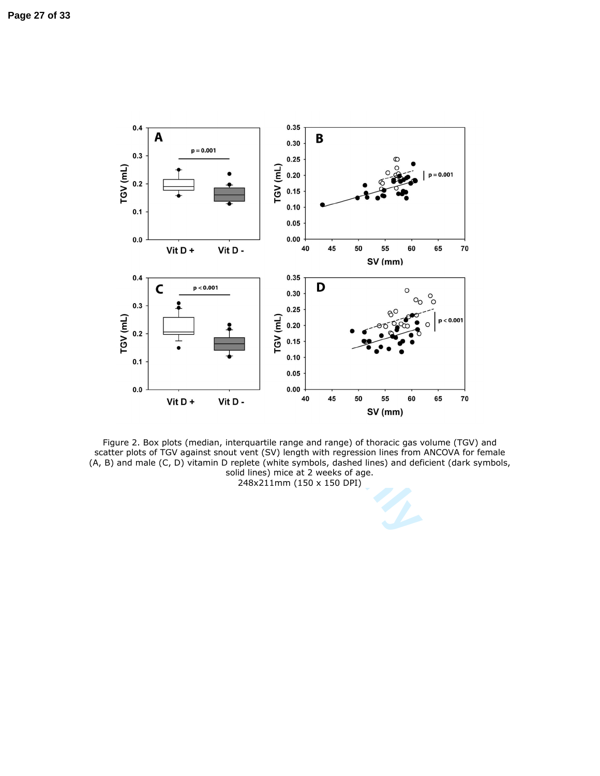

Figure 2. Box plots (median, interquartile range and range) of thoracic gas volume (TGV) and scatter plots of TGV against snout vent (SV) length with regression lines from ANCOVA for female (A, B) and male (C, D) vitamin D replete (white symbols, dashed lines) and deficient (dark symbols, solid lines) mice at 2 weeks of age. 248x211mm (150 x 150 DPI)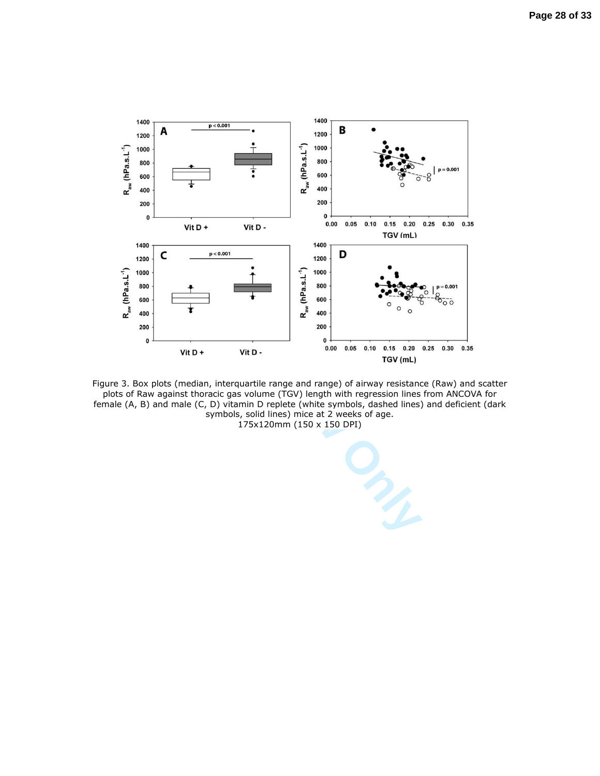

Figure 3. Box plots (median, interquartile range and range) of airway resistance (Raw) and scatter plots of Raw against thoracic gas volume (TGV) length with regression lines from ANCOVA for female (A, B) and male (C, D) vitamin D replete (white symbols, dashed lines) and deficient (dark symbols, solid lines) mice at 2 weeks of age. 175x120mm (150 x 150 DPI)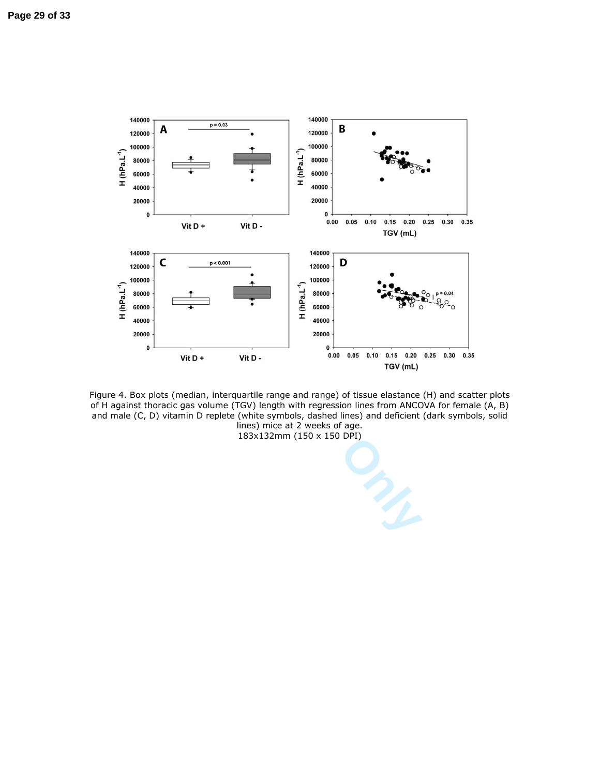



183x132mm (150 x 150 DPI)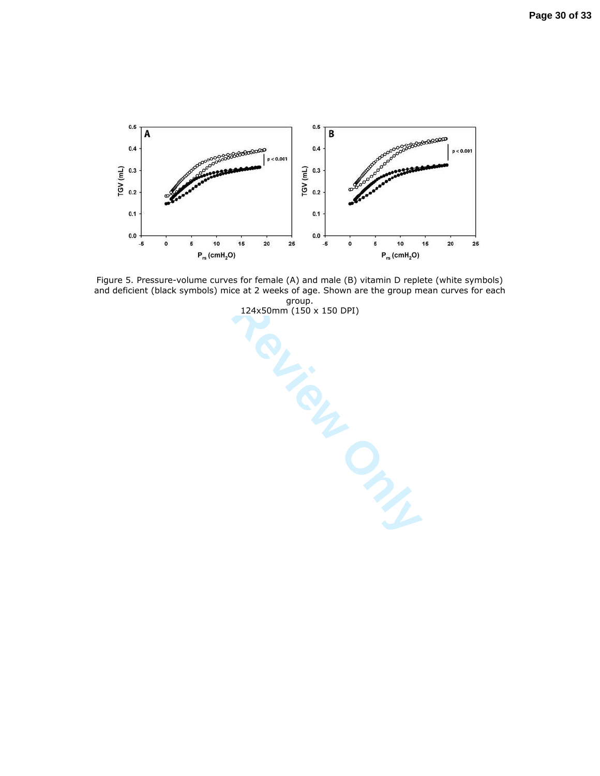

Figure 5. Pressure-volume curves for female (A) and male (B) vitamin D replete (white symbols) and deficient (black symbols) mice at 2 weeks of age. Shown are the group mean curves for each

group.<br>124x50mm (150 x 150 DPI) 124x50mm (150 x 150 DPI)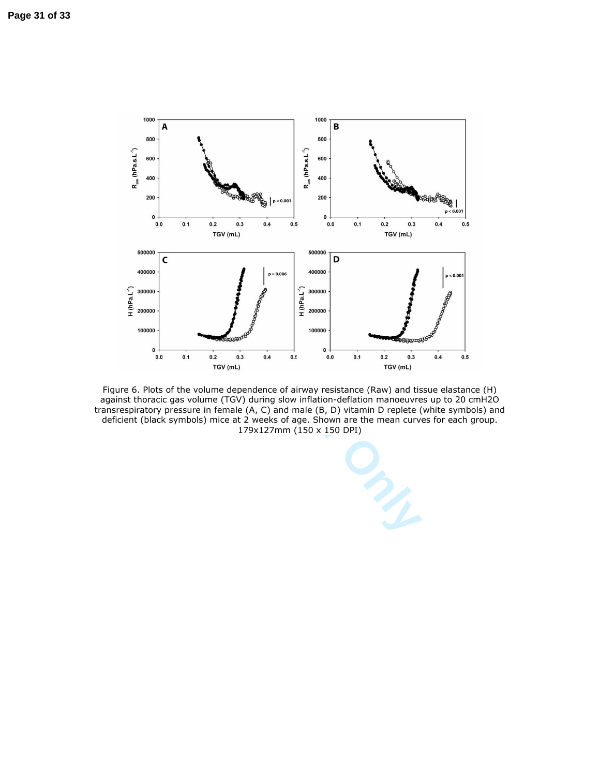

Figure 6. Plots of the volume dependence of airway resistance (Raw) and tissue elastance (H) against thoracic gas volume (TGV) during slow inflation-deflation manoeuvres up to 20 cmH2O transrespiratory pressure in female (A, C) and male (B, D) vitamin D replete (white symbols) and deficient (black symbols) mice at 2 weeks of age. Shown are the mean curves for each group. 179x127mm (150 x 150 DPI)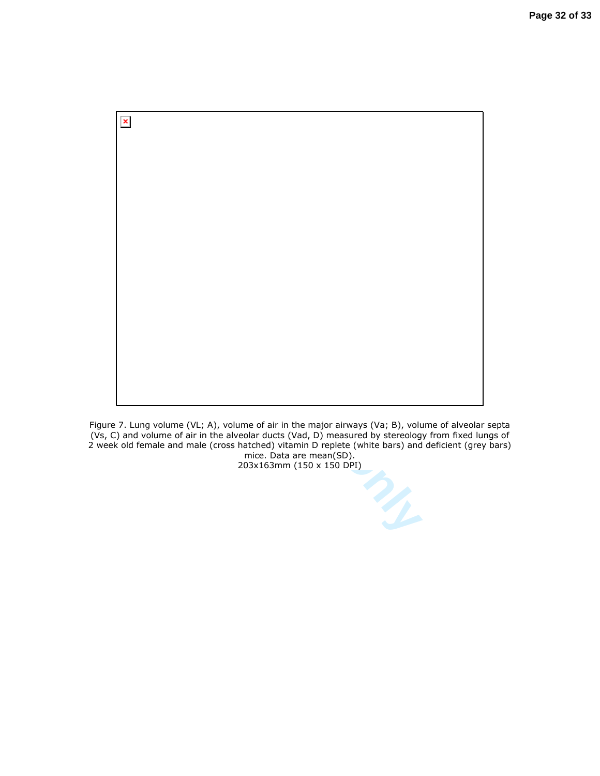

Figure 7. Lung volume (VL; A), volume of air in the major airways (Va; B), volume of alveolar septa (Vs, C) and volume of air in the alveolar ducts (Vad, D) measured by stereology from fixed lungs of 2 week old female and male (cross hatched) vitamin D replete (white bars) and deficient (grey bars) mice. Data are mean(SD).

203x163mm (150 x 150 DPI)